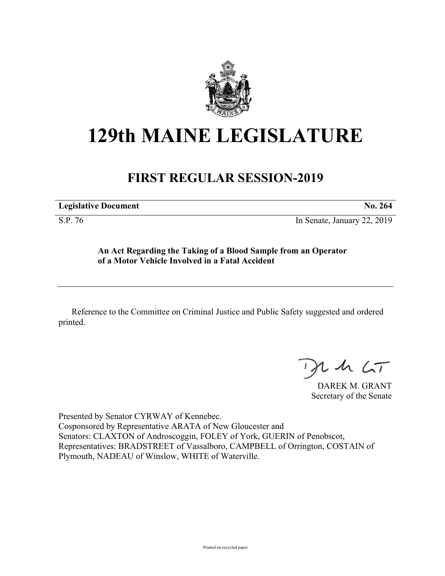

# **129th MAINE LEGISLATURE**

## **FIRST REGULAR SESSION-2019**

**Legislative Document No. 264**

S.P. 76 In Senate, January 22, 2019

**An Act Regarding the Taking of a Blood Sample from an Operator of a Motor Vehicle Involved in a Fatal Accident**

Reference to the Committee on Criminal Justice and Public Safety suggested and ordered printed.

 $125$ 

DAREK M. GRANT Secretary of the Senate

Presented by Senator CYRWAY of Kennebec. Cosponsored by Representative ARATA of New Gloucester and Senators: CLAXTON of Androscoggin, FOLEY of York, GUERIN of Penobscot, Representatives: BRADSTREET of Vassalboro, CAMPBELL of Orrington, COSTAIN of Plymouth, NADEAU of Winslow, WHITE of Waterville.